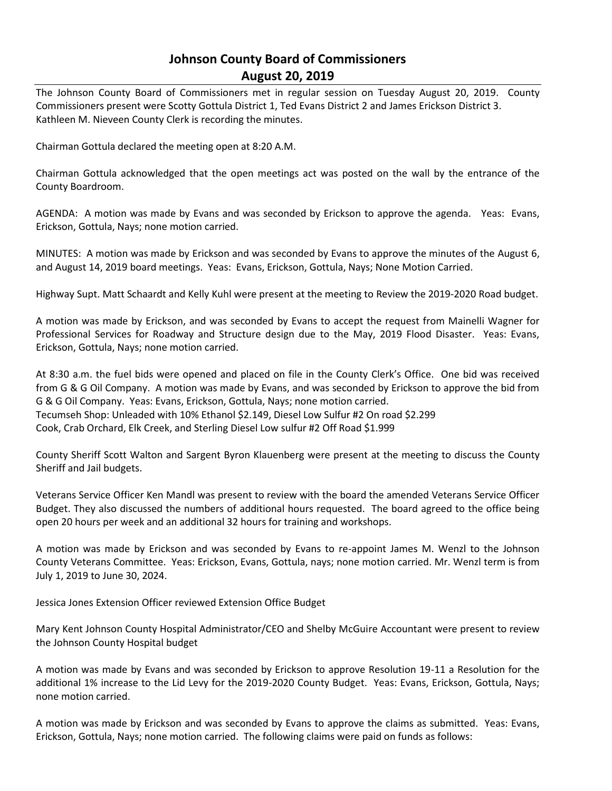# **Johnson County Board of Commissioners August 20, 2019**

The Johnson County Board of Commissioners met in regular session on Tuesday August 20, 2019. County Commissioners present were Scotty Gottula District 1, Ted Evans District 2 and James Erickson District 3. Kathleen M. Nieveen County Clerk is recording the minutes.

Chairman Gottula declared the meeting open at 8:20 A.M.

Chairman Gottula acknowledged that the open meetings act was posted on the wall by the entrance of the County Boardroom.

AGENDA: A motion was made by Evans and was seconded by Erickson to approve the agenda. Yeas: Evans, Erickson, Gottula, Nays; none motion carried.

MINUTES: A motion was made by Erickson and was seconded by Evans to approve the minutes of the August 6, and August 14, 2019 board meetings. Yeas: Evans, Erickson, Gottula, Nays; None Motion Carried.

Highway Supt. Matt Schaardt and Kelly Kuhl were present at the meeting to Review the 2019-2020 Road budget.

A motion was made by Erickson, and was seconded by Evans to accept the request from Mainelli Wagner for Professional Services for Roadway and Structure design due to the May, 2019 Flood Disaster. Yeas: Evans, Erickson, Gottula, Nays; none motion carried.

At 8:30 a.m. the fuel bids were opened and placed on file in the County Clerk's Office. One bid was received from G & G Oil Company. A motion was made by Evans, and was seconded by Erickson to approve the bid from G & G Oil Company. Yeas: Evans, Erickson, Gottula, Nays; none motion carried. Tecumseh Shop: Unleaded with 10% Ethanol \$2.149, Diesel Low Sulfur #2 On road \$2.299 Cook, Crab Orchard, Elk Creek, and Sterling Diesel Low sulfur #2 Off Road \$1.999

County Sheriff Scott Walton and Sargent Byron Klauenberg were present at the meeting to discuss the County Sheriff and Jail budgets.

Veterans Service Officer Ken Mandl was present to review with the board the amended Veterans Service Officer Budget. They also discussed the numbers of additional hours requested. The board agreed to the office being open 20 hours per week and an additional 32 hours for training and workshops.

A motion was made by Erickson and was seconded by Evans to re-appoint James M. Wenzl to the Johnson County Veterans Committee. Yeas: Erickson, Evans, Gottula, nays; none motion carried. Mr. Wenzl term is from July 1, 2019 to June 30, 2024.

Jessica Jones Extension Officer reviewed Extension Office Budget

Mary Kent Johnson County Hospital Administrator/CEO and Shelby McGuire Accountant were present to review the Johnson County Hospital budget

A motion was made by Evans and was seconded by Erickson to approve Resolution 19-11 a Resolution for the additional 1% increase to the Lid Levy for the 2019-2020 County Budget. Yeas: Evans, Erickson, Gottula, Nays; none motion carried.

A motion was made by Erickson and was seconded by Evans to approve the claims as submitted. Yeas: Evans, Erickson, Gottula, Nays; none motion carried. The following claims were paid on funds as follows: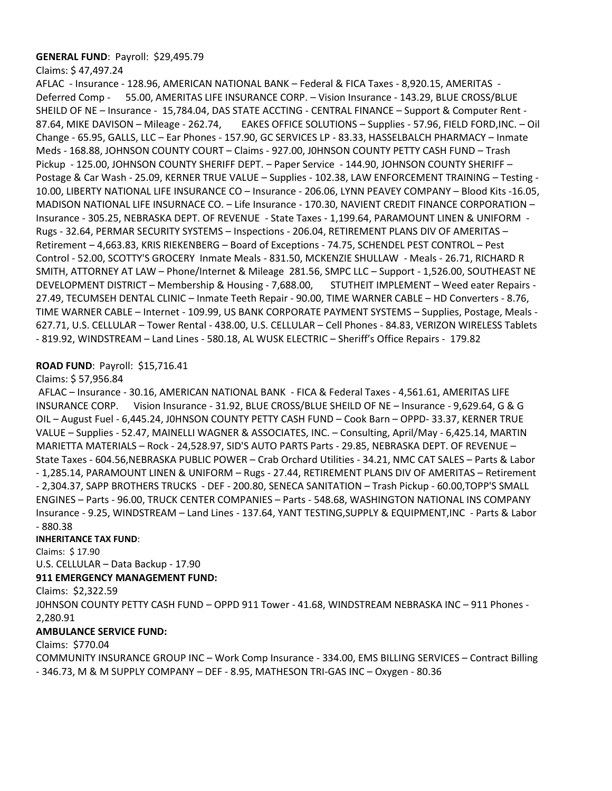#### **GENERAL FUND**: Payroll: \$29,495.79

Claims: \$ 47,497.24

AFLAC - Insurance - 128.96, AMERICAN NATIONAL BANK – Federal & FICA Taxes - 8,920.15, AMERITAS - Deferred Comp - 55.00, AMERITAS LIFE INSURANCE CORP. – Vision Insurance - 143.29, BLUE CROSS/BLUE SHEILD OF NE – Insurance - 15,784.04, DAS STATE ACCTING - CENTRAL FINANCE – Support & Computer Rent - 87.64, MIKE DAVISON – Mileage - 262.74, EAKES OFFICE SOLUTIONS – Supplies - 57.96, FIELD FORD,INC. – Oil Change - 65.95, GALLS, LLC – Ear Phones - 157.90, GC SERVICES LP - 83.33, HASSELBALCH PHARMACY – Inmate Meds - 168.88, JOHNSON COUNTY COURT – Claims - 927.00, J0HNSON COUNTY PETTY CASH FUND – Trash Pickup - 125.00, JOHNSON COUNTY SHERIFF DEPT. – Paper Service - 144.90, JOHNSON COUNTY SHERIFF – Postage & Car Wash - 25.09, KERNER TRUE VALUE – Supplies - 102.38, LAW ENFORCEMENT TRAINING – Testing - 10.00, LIBERTY NATIONAL LIFE INSURANCE CO – Insurance - 206.06, LYNN PEAVEY COMPANY – Blood Kits -16.05, MADISON NATIONAL LIFE INSURNACE CO. – Life Insurance - 170.30, NAVIENT CREDIT FINANCE CORPORATION – Insurance - 305.25, NEBRASKA DEPT. OF REVENUE - State Taxes - 1,199.64, PARAMOUNT LINEN & UNIFORM - Rugs - 32.64, PERMAR SECURITY SYSTEMS – Inspections - 206.04, RETIREMENT PLANS DIV OF AMERITAS – Retirement – 4,663.83, KRIS RIEKENBERG – Board of Exceptions - 74.75, SCHENDEL PEST CONTROL – Pest Control - 52.00, SCOTTY'S GROCERY Inmate Meals - 831.50, MCKENZIE SHULLAW - Meals - 26.71, RICHARD R SMITH, ATTORNEY AT LAW – Phone/Internet & Mileage 281.56, SMPC LLC – Support - 1,526.00, SOUTHEAST NE DEVELOPMENT DISTRICT – Membership & Housing - 7,688.00, STUTHEIT IMPLEMENT – Weed eater Repairs - 27.49, TECUMSEH DENTAL CLINIC – Inmate Teeth Repair - 90.00, TIME WARNER CABLE – HD Converters - 8.76, TIME WARNER CABLE – Internet - 109.99, US BANK CORPORATE PAYMENT SYSTEMS – Supplies, Postage, Meals - 627.71, U.S. CELLULAR – Tower Rental - 438.00, U.S. CELLULAR – Cell Phones - 84.83, VERIZON WIRELESS Tablets - 819.92, WINDSTREAM – Land Lines - 580.18, AL WUSK ELECTRIC – Sheriff's Office Repairs - 179.82

### **ROAD FUND**: Payroll: \$15,716.41

#### Claims: \$ 57,956.84

AFLAC – Insurance - 30.16, AMERICAN NATIONAL BANK - FICA & Federal Taxes - 4,561.61, AMERITAS LIFE INSURANCE CORP. Vision Insurance - 31.92, BLUE CROSS/BLUE SHEILD OF NE – Insurance - 9,629.64, G & G OIL – August Fuel - 6,445.24, J0HNSON COUNTY PETTY CASH FUND – Cook Barn – OPPD- 33.37, KERNER TRUE VALUE – Supplies - 52.47, MAINELLI WAGNER & ASSOCIATES, INC. – Consulting, April/May - 6,425.14, MARTIN MARIETTA MATERIALS – Rock - 24,528.97, SID'S AUTO PARTS Parts - 29.85, NEBRASKA DEPT. OF REVENUE – State Taxes - 604.56,NEBRASKA PUBLIC POWER – Crab Orchard Utilities - 34.21, NMC CAT SALES – Parts & Labor - 1,285.14, PARAMOUNT LINEN & UNIFORM – Rugs - 27.44, RETIREMENT PLANS DIV OF AMERITAS – Retirement - 2,304.37, SAPP BROTHERS TRUCKS - DEF - 200.80, SENECA SANITATION – Trash Pickup - 60.00,TOPP'S SMALL ENGINES – Parts - 96.00, TRUCK CENTER COMPANIES – Parts - 548.68, WASHINGTON NATIONAL INS COMPANY Insurance - 9.25, WINDSTREAM – Land Lines - 137.64, YANT TESTING,SUPPLY & EQUIPMENT,INC - Parts & Labor - 880.38

#### **INHERITANCE TAX FUND**:

Claims: \$ 17.90 U.S. CELLULAR – Data Backup - 17.90

#### **911 EMERGENCY MANAGEMENT FUND:**

Claims: \$2,322.59

J0HNSON COUNTY PETTY CASH FUND – OPPD 911 Tower - 41.68, WINDSTREAM NEBRASKA INC – 911 Phones - 2,280.91

## **AMBULANCE SERVICE FUND:**

Claims: \$770.04

COMMUNITY INSURANCE GROUP INC – Work Comp Insurance - 334.00, EMS BILLING SERVICES – Contract Billing - 346.73, M & M SUPPLY COMPANY – DEF - 8.95, MATHESON TRI-GAS INC – Oxygen - 80.36